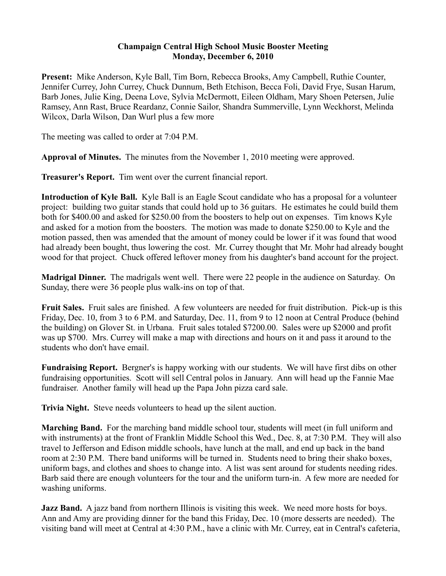## **Champaign Central High School Music Booster Meeting Monday, December 6, 2010**

**Present:** Mike Anderson, Kyle Ball, Tim Born, Rebecca Brooks, Amy Campbell, Ruthie Counter, Jennifer Currey, John Currey, Chuck Dunnum, Beth Etchison, Becca Foli, David Frye, Susan Harum, Barb Jones, Julie King, Deena Love, Sylvia McDermott, Eileen Oldham, Mary Shoen Petersen, Julie Ramsey, Ann Rast, Bruce Reardanz, Connie Sailor, Shandra Summerville, Lynn Weckhorst, Melinda Wilcox, Darla Wilson, Dan Wurl plus a few more

The meeting was called to order at 7:04 P.M.

**Approval of Minutes.** The minutes from the November 1, 2010 meeting were approved.

**Treasurer's Report.** Tim went over the current financial report.

**Introduction of Kyle Ball.** Kyle Ball is an Eagle Scout candidate who has a proposal for a volunteer project: building two guitar stands that could hold up to 36 guitars. He estimates he could build them both for \$400.00 and asked for \$250.00 from the boosters to help out on expenses. Tim knows Kyle and asked for a motion from the boosters. The motion was made to donate \$250.00 to Kyle and the motion passed, then was amended that the amount of money could be lower if it was found that wood had already been bought, thus lowering the cost. Mr. Currey thought that Mr. Mohr had already bought wood for that project. Chuck offered leftover money from his daughter's band account for the project.

**Madrigal Dinner.** The madrigals went well. There were 22 people in the audience on Saturday. On Sunday, there were 36 people plus walk-ins on top of that.

**Fruit Sales.** Fruit sales are finished. A few volunteers are needed for fruit distribution. Pick-up is this Friday, Dec. 10, from 3 to 6 P.M. and Saturday, Dec. 11, from 9 to 12 noon at Central Produce (behind the building) on Glover St. in Urbana. Fruit sales totaled \$7200.00. Sales were up \$2000 and profit was up \$700. Mrs. Currey will make a map with directions and hours on it and pass it around to the students who don't have email.

**Fundraising Report.** Bergner's is happy working with our students. We will have first dibs on other fundraising opportunities. Scott will sell Central polos in January. Ann will head up the Fannie Mae fundraiser. Another family will head up the Papa John pizza card sale.

**Trivia Night.** Steve needs volunteers to head up the silent auction.

**Marching Band.** For the marching band middle school tour, students will meet (in full uniform and with instruments) at the front of Franklin Middle School this Wed., Dec. 8, at 7:30 P.M. They will also travel to Jefferson and Edison middle schools, have lunch at the mall, and end up back in the band room at 2:30 P.M. There band uniforms will be turned in. Students need to bring their shako boxes, uniform bags, and clothes and shoes to change into. A list was sent around for students needing rides. Barb said there are enough volunteers for the tour and the uniform turn-in. A few more are needed for washing uniforms.

**Jazz Band.** A jazz band from northern Illinois is visiting this week. We need more hosts for boys. Ann and Amy are providing dinner for the band this Friday, Dec. 10 (more desserts are needed). The visiting band will meet at Central at 4:30 P.M., have a clinic with Mr. Currey, eat in Central's cafeteria,